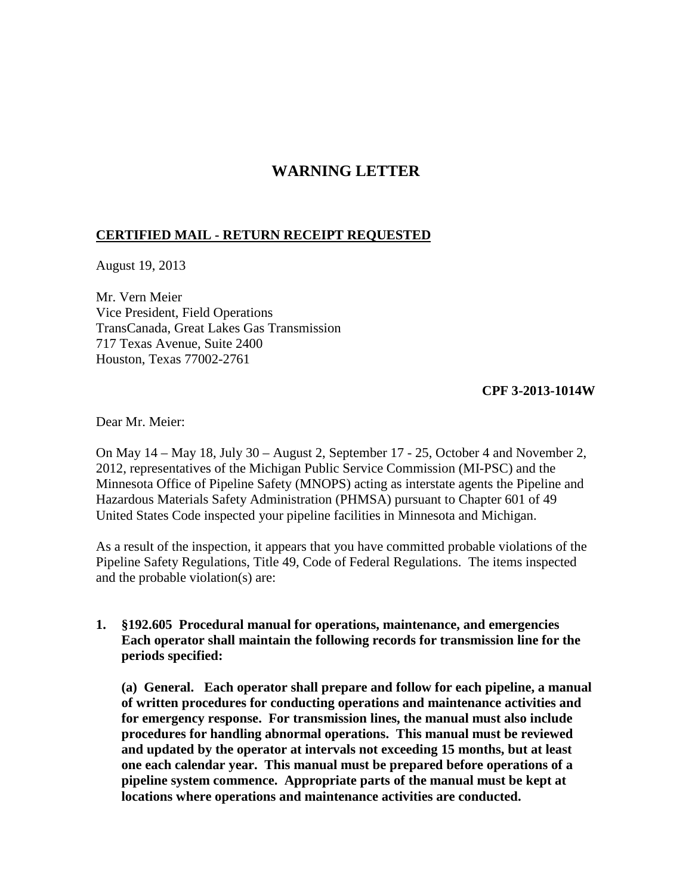## **WARNING LETTER**

## **CERTIFIED MAIL - RETURN RECEIPT REQUESTED**

August 19, 2013

Mr. Vern Meier Vice President, Field Operations TransCanada, Great Lakes Gas Transmission 717 Texas Avenue, Suite 2400 Houston, Texas 77002-2761

## **CPF 3-2013-1014W**

Dear Mr. Meier:

On May 14 – May 18, July 30 – August 2, September 17 - 25, October 4 and November 2, 2012, representatives of the Michigan Public Service Commission (MI-PSC) and the Minnesota Office of Pipeline Safety (MNOPS) acting as interstate agents the Pipeline and Hazardous Materials Safety Administration (PHMSA) pursuant to Chapter 601 of 49 United States Code inspected your pipeline facilities in Minnesota and Michigan.

As a result of the inspection, it appears that you have committed probable violations of the Pipeline Safety Regulations, Title 49, Code of Federal Regulations. The items inspected and the probable violation(s) are:

**1. §192.605 Procedural manual for operations, maintenance, and emergencies Each operator shall maintain the following records for transmission line for the periods specified:**

**(a) General. Each operator shall prepare and follow for each pipeline, a manual of written procedures for conducting operations and maintenance activities and for emergency response. For transmission lines, the manual must also include procedures for handling abnormal operations. This manual must be reviewed and updated by the operator at intervals not exceeding 15 months, but at least one each calendar year. This manual must be prepared before operations of a pipeline system commence. Appropriate parts of the manual must be kept at locations where operations and maintenance activities are conducted.**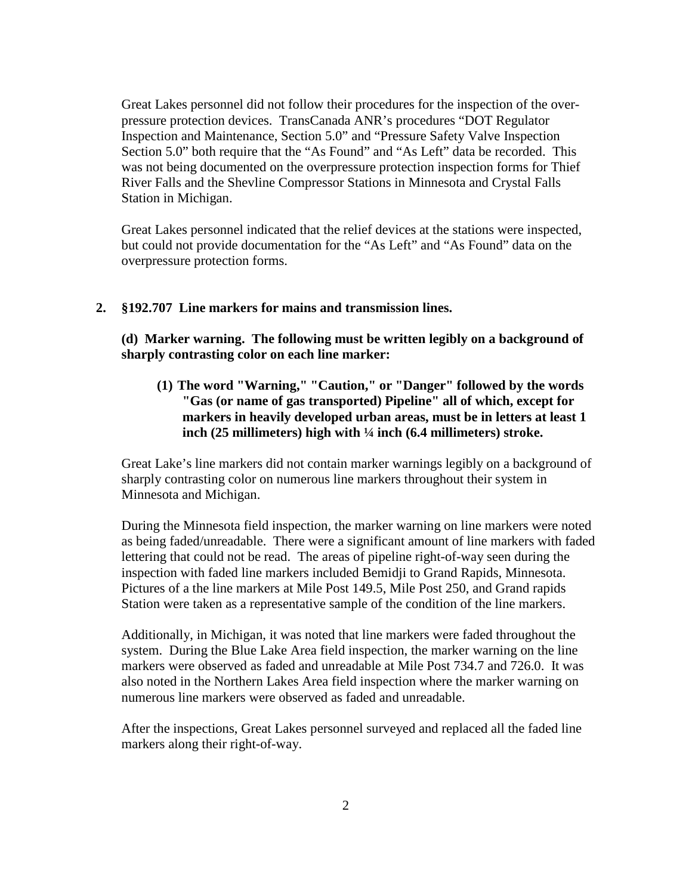Great Lakes personnel did not follow their procedures for the inspection of the overpressure protection devices. TransCanada ANR's procedures "DOT Regulator Inspection and Maintenance, Section 5.0" and "Pressure Safety Valve Inspection Section 5.0" both require that the "As Found" and "As Left" data be recorded. This was not being documented on the overpressure protection inspection forms for Thief River Falls and the Shevline Compressor Stations in Minnesota and Crystal Falls Station in Michigan.

Great Lakes personnel indicated that the relief devices at the stations were inspected, but could not provide documentation for the "As Left" and "As Found" data on the overpressure protection forms.

## **2. §192.707 Line markers for mains and transmission lines.**

**(d) Marker warning. The following must be written legibly on a background of sharply contrasting color on each line marker:**

**(1) The word "Warning," "Caution," or "Danger" followed by the words "Gas (or name of gas transported) Pipeline" all of which, except for markers in heavily developed urban areas, must be in letters at least 1 inch (25 millimeters) high with ¼ inch (6.4 millimeters) stroke.**

Great Lake's line markers did not contain marker warnings legibly on a background of sharply contrasting color on numerous line markers throughout their system in Minnesota and Michigan.

During the Minnesota field inspection, the marker warning on line markers were noted as being faded/unreadable. There were a significant amount of line markers with faded lettering that could not be read. The areas of pipeline right-of-way seen during the inspection with faded line markers included Bemidji to Grand Rapids, Minnesota. Pictures of a the line markers at Mile Post 149.5, Mile Post 250, and Grand rapids Station were taken as a representative sample of the condition of the line markers.

Additionally, in Michigan, it was noted that line markers were faded throughout the system. During the Blue Lake Area field inspection, the marker warning on the line markers were observed as faded and unreadable at Mile Post 734.7 and 726.0. It was also noted in the Northern Lakes Area field inspection where the marker warning on numerous line markers were observed as faded and unreadable.

After the inspections, Great Lakes personnel surveyed and replaced all the faded line markers along their right-of-way.